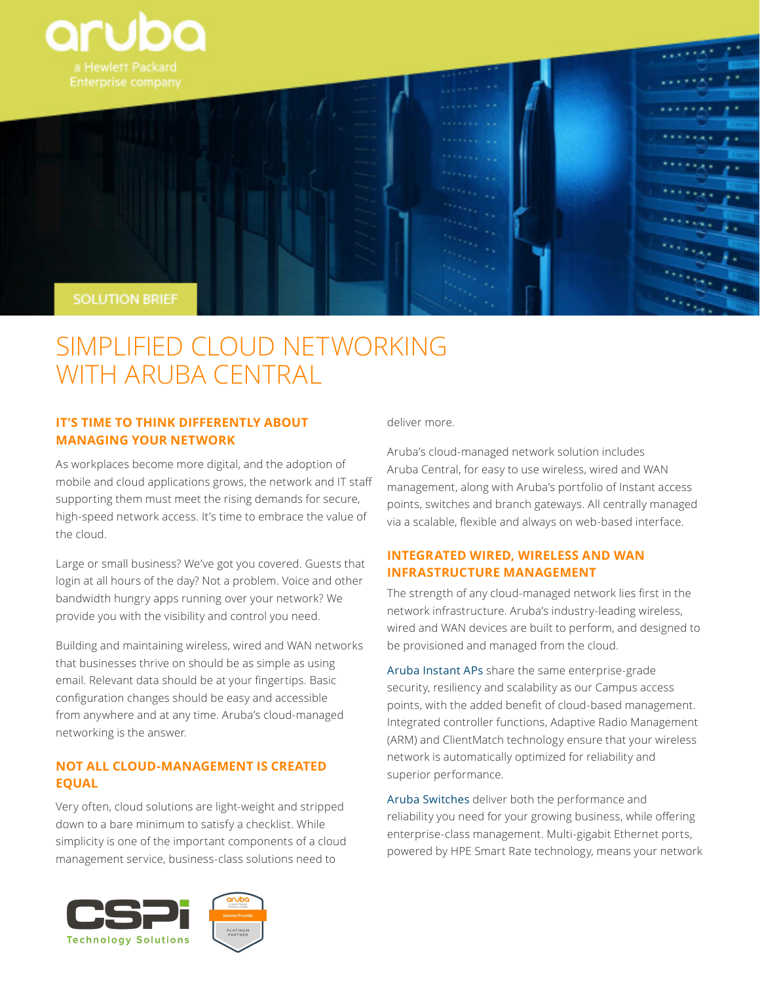

# SIMPLIFIED CLOUD NETWORKING WITH ARUBA CENTRAL

## **IT'S TIME TO THINK DIFFERENTLY ABOUT MANAGING YOUR NETWORK**

As workplaces become more digital, and the adoption of mobile and cloud applications grows, the network and IT staff supporting them must meet the rising demands for secure, high-speed network access. It's time to embrace the value of the cloud.

Large or small business? We've got you covered. Guests that login at all hours of the day? Not a problem. Voice and other bandwidth hungry apps running over your network? We provide you with the visibility and control you need.

Building and maintaining wireless, wired and WAN networks that businesses thrive on should be as simple as using email. Relevant data should be at your fingertips. Basic configuration changes should be easy and accessible from anywhere and at any time. Aruba's cloud-managed networking is the answer.

## **NOT ALL CLOUD-MANAGEMENT IS CREATED EQUAL**

Very often, cloud solutions are light-weight and stripped down to a bare minimum to satisfy a checklist. While simplicity is one of the important components of a cloud management service, business-class solutions need to



deliver more.

Aruba's cloud-managed network solution includes Aruba Central, for easy to use wireless, wired and WAN management, along with Aruba's portfolio of Instant access points, switches and branch gateways. All centrally managed via a scalable, flexible and always on web-based interface.

## **INTEGRATED WIRED, WIRELESS AND WAN INFRASTRUCTURE MANAGEMENT**

The strength of any cloud-managed network lies first in the network infrastructure. Aruba's industry-leading wireless, wired and WAN devices are built to perform, and designed to be provisioned and managed from the cloud.

[Aruba Instant APs](http://www.arubanetworks.com/products/networking/aruba-instant/) share the same enterprise-grade security, resiliency and scalability as our Campus access points, with the added benefit of cloud-based management. Integrated controller functions, Adaptive Radio Management (ARM) and ClientMatch technology ensure that your wireless network is automatically optimized for reliability and superior performance.

[Aruba Switches](http://www.arubanetworks.com/products/networking/switches/) deliver both the performance and reliability you need for your growing business, while offering enterprise-class management. Multi-gigabit Ethernet ports, powered by HPE Smart Rate technology, means your network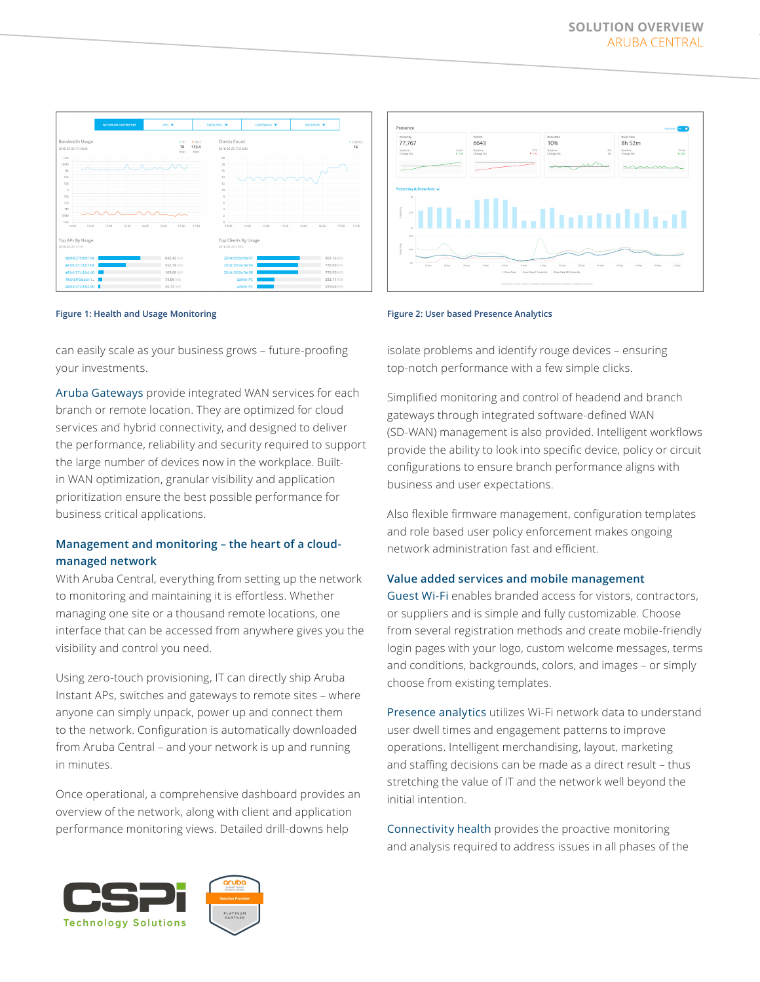



can easily scale as your business grows – future-proofing your investments.

[Aruba Gateways](http://www.arubanetworks.com/assets/so/SO_BranchRemoteNetworking.pdf) provide integrated WAN services for each branch or remote location. They are optimized for cloud services and hybrid connectivity, and designed to deliver the performance, reliability and security required to support the large number of devices now in the workplace. Builtin WAN optimization, granular visibility and application prioritization ensure the best possible performance for business critical applications.

## **Management and monitoring – the heart of a cloudmanaged network**

With Aruba Central, everything from setting up the network to monitoring and maintaining it is effortless. Whether managing one site or a thousand remote locations, one interface that can be accessed from anywhere gives you the visibility and control you need.

Using zero-touch provisioning, IT can directly ship Aruba Instant APs, switches and gateways to remote sites – where anyone can simply unpack, power up and connect them to the network. Configuration is automatically downloaded from Aruba Central – and your network is up and running in minutes.

Once operational, a comprehensive dashboard provides an overview of the network, along with client and application performance monitoring views. Detailed drill-downs help



isolate problems and identify rouge devices – ensuring top-notch performance with a few simple clicks.

Simplified monitoring and control of headend and branch gateways through integrated software-defined WAN (SD-WAN) management is also provided. Intelligent workflows provide the ability to look into specific device, policy or circuit configurations to ensure branch performance aligns with business and user expectations.

Also flexible firmware management, configuration templates and role based user policy enforcement makes ongoing network administration fast and efficient.

#### **Value added services and mobile management**

Guest Wi-Fi enables branded access for vistors, contractors, or suppliers and is simple and fully customizable. Choose from several registration methods and create mobile-friendly login pages with your logo, custom welcome messages, terms and conditions, backgrounds, colors, and images – or simply choose from existing templates.

Presence analytics utilizes Wi-Fi network data to understand user dwell times and engagement patterns to improve operations. Intelligent merchandising, layout, marketing and staffing decisions can be made as a direct result – thus stretching the value of IT and the network well beyond the initial intention.

Connectivity health provides the proactive monitoring and analysis required to address issues in all phases of the